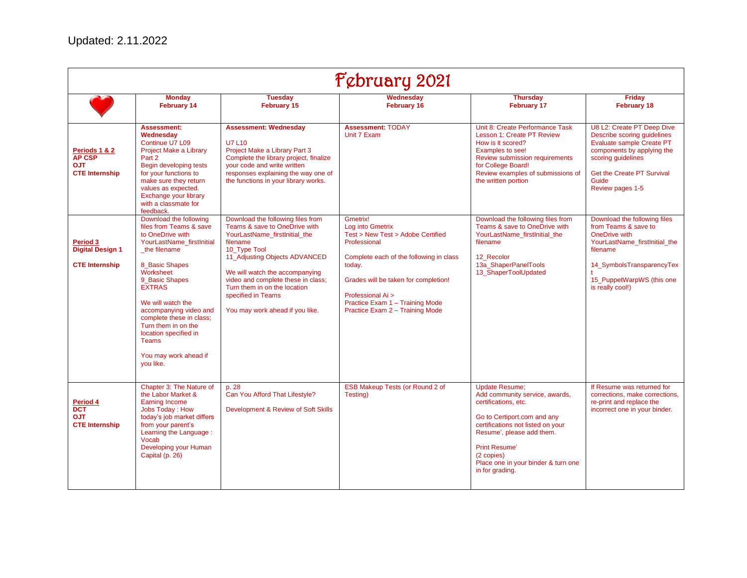| February 2021                                                         |                                                                                                                                                                                                                                                                                                                                                                       |                                                                                                                                                                                                                                                                                                                                   |                                                                                                                                                                                                                                                                           |                                                                                                                                                                                                                                                                                  |                                                                                                                                                                                                       |
|-----------------------------------------------------------------------|-----------------------------------------------------------------------------------------------------------------------------------------------------------------------------------------------------------------------------------------------------------------------------------------------------------------------------------------------------------------------|-----------------------------------------------------------------------------------------------------------------------------------------------------------------------------------------------------------------------------------------------------------------------------------------------------------------------------------|---------------------------------------------------------------------------------------------------------------------------------------------------------------------------------------------------------------------------------------------------------------------------|----------------------------------------------------------------------------------------------------------------------------------------------------------------------------------------------------------------------------------------------------------------------------------|-------------------------------------------------------------------------------------------------------------------------------------------------------------------------------------------------------|
|                                                                       | <b>Monday</b><br><b>February 14</b>                                                                                                                                                                                                                                                                                                                                   | <b>Tuesday</b><br><b>February 15</b>                                                                                                                                                                                                                                                                                              | Wednesdav<br><b>February 16</b>                                                                                                                                                                                                                                           | <b>Thursday</b><br><b>February 17</b>                                                                                                                                                                                                                                            | <b>Friday</b><br><b>February 18</b>                                                                                                                                                                   |
| Periods 1 & 2<br><b>AP CSP</b><br><b>OJT</b><br><b>CTE Internship</b> | <b>Assessment:</b><br>Wednesdav<br>Continue U7 L09<br>Project Make a Library<br>Part 2<br>Begin developing tests<br>for your functions to<br>make sure they return<br>values as expected.<br>Exchange your library<br>with a classmate for<br>feedback.                                                                                                               | <b>Assessment: Wednesday</b><br><b>U7 L10</b><br>Project Make a Library Part 3<br>Complete the library project, finalize<br>your code and write written<br>responses explaining the way one of<br>the functions in your library works.                                                                                            | <b>Assessment: TODAY</b><br>Unit 7 Exam                                                                                                                                                                                                                                   | Unit 8: Create Performance Task<br>Lesson 1: Create PT Review<br>How is it scored?<br>Examples to see!<br><b>Review submission requirements</b><br>for College Board!<br>Review examples of submissions of<br>the written portion                                                | U8 L2: Create PT Deep Dive<br>Describe scoring quidelines<br>Evaluate sample Create PT<br>components by applying the<br>scoring guidelines<br>Get the Create PT Survival<br>Guide<br>Review pages 1-5 |
| Period 3<br><b>Digital Design 1</b><br><b>CTE Internship</b>          | Download the following<br>files from Teams & save<br>to OneDrive with<br>YourLastName firstInitial<br>the filename<br>8 Basic Shapes<br>Worksheet<br>9 Basic Shapes<br><b>EXTRAS</b><br>We will watch the<br>accompanying video and<br>complete these in class;<br>Turn them in on the<br>location specified in<br><b>Teams</b><br>You may work ahead if<br>you like. | Download the following files from<br>Teams & save to OneDrive with<br>YourLastName firstInitial the<br>filename<br>10 Type Tool<br>11 Adjusting Objects ADVANCED<br>We will watch the accompanying<br>video and complete these in class;<br>Turn them in on the location<br>specified in Teams<br>You may work ahead if you like. | Gmetrix!<br>Log into Gmetrix<br>Test > New Test > Adobe Certified<br>Professional<br>Complete each of the following in class<br>today.<br>Grades will be taken for completion!<br>Professional Ai ><br>Practice Exam 1 - Training Mode<br>Practice Exam 2 - Training Mode | Download the following files from<br>Teams & save to OneDrive with<br>YourLastName firstInitial the<br>filename<br>12 Recolor<br>13a ShaperPanelTools<br>13_ShaperToolUpdated                                                                                                    | Download the following files<br>from Teams & save to<br>OneDrive with<br>YourLastName_firstInitial_the<br>filename<br>14_SymbolsTransparencyTex<br>15 PuppetWarpWS (this one<br>is really cool!)      |
| Period 4<br><b>DCT</b><br><b>OJT</b><br><b>CTE Internship</b>         | Chapter 3: The Nature of<br>the Labor Market &<br>Earning Income<br>Jobs Today: How<br>today's job market differs<br>from your parent's<br>Learning the Language:<br>Vocab<br>Developing your Human<br>Capital (p. 26)                                                                                                                                                | p. 28<br>Can You Afford That Lifestyle?<br>Development & Review of Soft Skills                                                                                                                                                                                                                                                    | ESB Makeup Tests (or Round 2 of<br>Testing)                                                                                                                                                                                                                               | <b>Update Resume:</b><br>Add community service, awards,<br>certifications, etc.<br>Go to Certiport.com and any<br>certifications not listed on your<br>Resume', please add them.<br><b>Print Resume'</b><br>(2 copies)<br>Place one in your binder & turn one<br>in for grading. | If Resume was returned for<br>corrections, make corrections,<br>re-print and replace the<br>incorrect one in your binder.                                                                             |